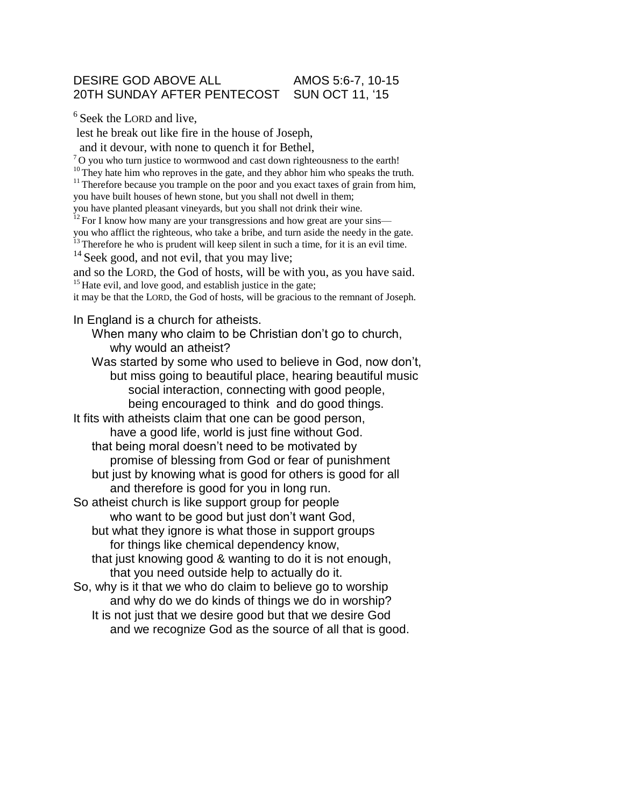## DESIRE GOD ABOVE ALL AMOS 5:6-7, 10-15 20TH SUNDAY AFTER PENTECOST SUN OCT 11, '15

 $6$  Seek the LORD and live,

lest he break out like fire in the house of Joseph,

and it devour, with none to quench it for Bethel,

<sup>7</sup>O you who turn justice to wormwood and cast down righteousness to the earth!

<sup>10</sup>They hate him who reproves in the gate, and they abhor him who speaks the truth.

 $11$ <sup>11</sup> Therefore because you trample on the poor and you exact taxes of grain from him, you have built houses of hewn stone, but you shall not dwell in them;

you have planted pleasant vineyards, but you shall not drink their wine.

 $12$  For I know how many are your transgressions and how great are your sins—

you who afflict the righteous, who take a bribe, and turn aside the needy in the gate.

 $\frac{13}{13}$  Therefore he who is prudent will keep silent in such a time, for it is an evil time. <sup>14</sup> Seek good, and not evil, that you may live;

and so the LORD, the God of hosts, will be with you, as you have said.  $15$  Hate evil, and love good, and establish justice in the gate;

it may be that the LORD, the God of hosts, will be gracious to the remnant of Joseph.

In England is a church for atheists.

When many who claim to be Christian don't go to church, why would an atheist?

Was started by some who used to believe in God, now don't, but miss going to beautiful place, hearing beautiful music social interaction, connecting with good people, being encouraged to think and do good things.

It fits with atheists claim that one can be good person, have a good life, world is just fine without God. that being moral doesn't need to be motivated by promise of blessing from God or fear of punishment but just by knowing what is good for others is good for all

and therefore is good for you in long run.

So atheist church is like support group for people who want to be good but just don't want God, but what they ignore is what those in support groups for things like chemical dependency know,

that just knowing good & wanting to do it is not enough, that you need outside help to actually do it.

So, why is it that we who do claim to believe go to worship and why do we do kinds of things we do in worship? It is not just that we desire good but that we desire God and we recognize God as the source of all that is good.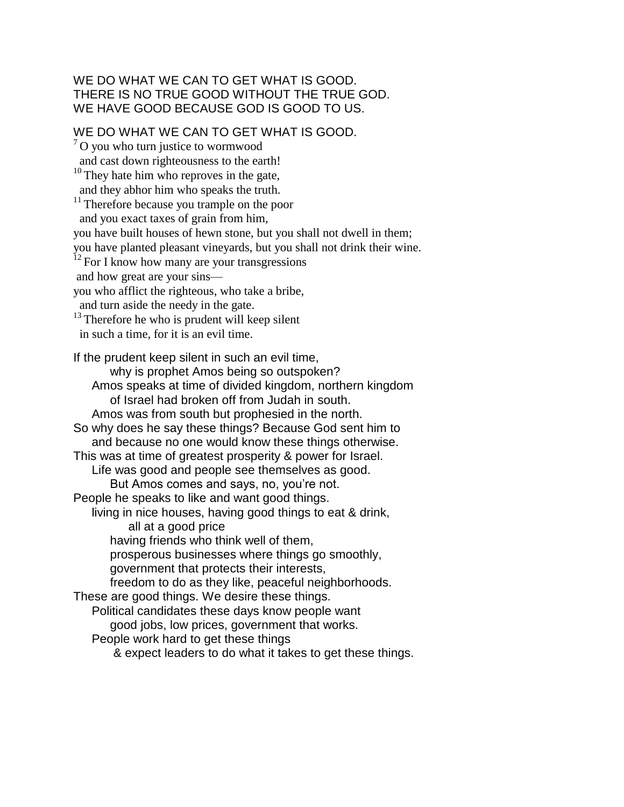## WE DO WHAT WE CAN TO GET WHAT IS GOOD. THERE IS NO TRUE GOOD WITHOUT THE TRUE GOD. WE HAVE GOOD BECAUSE GOD IS GOOD TO US.

WE DO WHAT WE CAN TO GET WHAT IS GOOD.

 $7^{\circ}$ O you who turn justice to wormwood and cast down righteousness to the earth!  $10$ <sup>10</sup>They hate him who reproves in the gate, and they abhor him who speaks the truth. <sup>11</sup> Therefore because you trample on the poor and you exact taxes of grain from him, you have built houses of hewn stone, but you shall not dwell in them; you have planted pleasant vineyards, but you shall not drink their wine.  $12$  For I know how many are your transgressions and how great are your sins you who afflict the righteous, who take a bribe, and turn aside the needy in the gate.  $13$ <sup>13</sup>Therefore he who is prudent will keep silent in such a time, for it is an evil time. If the prudent keep silent in such an evil time, why is prophet Amos being so outspoken? Amos speaks at time of divided kingdom, northern kingdom of Israel had broken off from Judah in south. Amos was from south but prophesied in the north. So why does he say these things? Because God sent him to and because no one would know these things otherwise. This was at time of greatest prosperity & power for Israel. Life was good and people see themselves as good. But Amos comes and says, no, you're not. People he speaks to like and want good things. living in nice houses, having good things to eat & drink, all at a good price having friends who think well of them, prosperous businesses where things go smoothly, government that protects their interests, freedom to do as they like, peaceful neighborhoods. These are good things. We desire these things. Political candidates these days know people want good jobs, low prices, government that works. People work hard to get these things & expect leaders to do what it takes to get these things.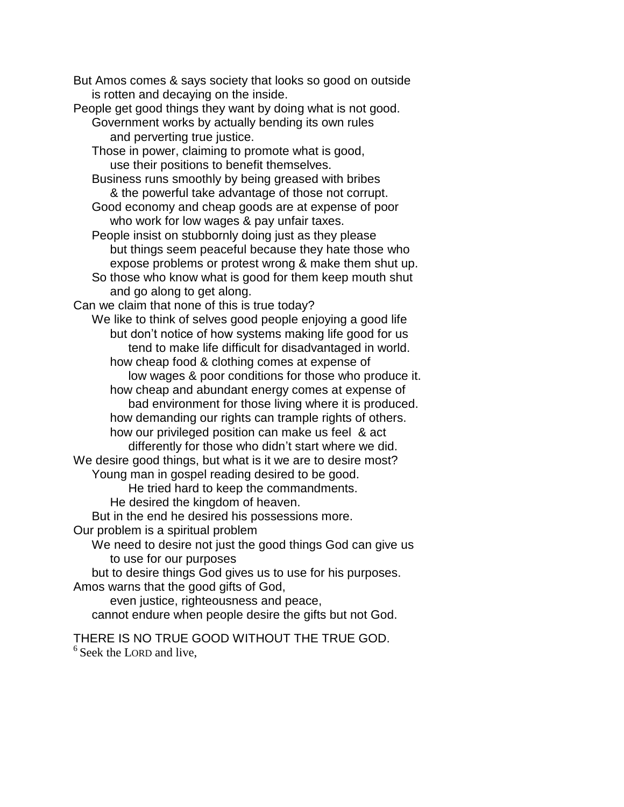But Amos comes & says society that looks so good on outside is rotten and decaying on the inside.

- People get good things they want by doing what is not good. Government works by actually bending its own rules and perverting true justice.
	- Those in power, claiming to promote what is good, use their positions to benefit themselves.
	- Business runs smoothly by being greased with bribes & the powerful take advantage of those not corrupt.
	- Good economy and cheap goods are at expense of poor who work for low wages & pay unfair taxes.
	- People insist on stubbornly doing just as they please but things seem peaceful because they hate those who expose problems or protest wrong & make them shut up.
	- So those who know what is good for them keep mouth shut and go along to get along.

Can we claim that none of this is true today?

We like to think of selves good people enjoying a good life but don't notice of how systems making life good for us tend to make life difficult for disadvantaged in world. how cheap food & clothing comes at expense of

low wages & poor conditions for those who produce it.

how cheap and abundant energy comes at expense of bad environment for those living where it is produced. how demanding our rights can trample rights of others. how our privileged position can make us feel & act

differently for those who didn't start where we did. We desire good things, but what is it we are to desire most?

Young man in gospel reading desired to be good.

He tried hard to keep the commandments.

He desired the kingdom of heaven.

But in the end he desired his possessions more.

Our problem is a spiritual problem

We need to desire not just the good things God can give us to use for our purposes

but to desire things God gives us to use for his purposes. Amos warns that the good gifts of God,

even justice, righteousness and peace, cannot endure when people desire the gifts but not God.

THERE IS NO TRUE GOOD WITHOUT THE TRUE GOD.  $6$  Seek the LORD and live,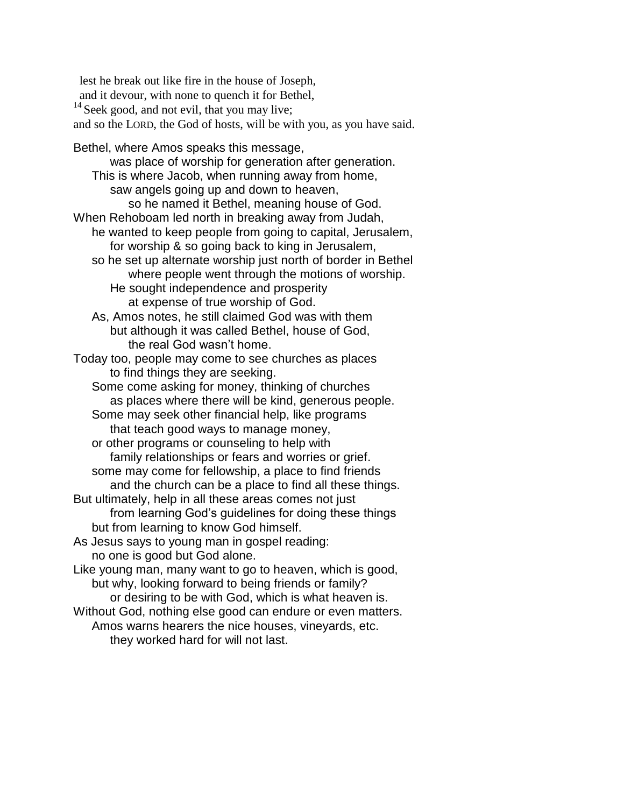lest he break out like fire in the house of Joseph, and it devour, with none to quench it for Bethel, <sup>14</sup> Seek good, and not evil, that you may live; and so the LORD, the God of hosts, will be with you, as you have said. Bethel, where Amos speaks this message, was place of worship for generation after generation. This is where Jacob, when running away from home, saw angels going up and down to heaven, so he named it Bethel, meaning house of God. When Rehoboam led north in breaking away from Judah, he wanted to keep people from going to capital, Jerusalem, for worship & so going back to king in Jerusalem, so he set up alternate worship just north of border in Bethel where people went through the motions of worship. He sought independence and prosperity at expense of true worship of God. As, Amos notes, he still claimed God was with them but although it was called Bethel, house of God, the real God wasn't home. Today too, people may come to see churches as places to find things they are seeking. Some come asking for money, thinking of churches as places where there will be kind, generous people. Some may seek other financial help, like programs that teach good ways to manage money, or other programs or counseling to help with family relationships or fears and worries or grief. some may come for fellowship, a place to find friends and the church can be a place to find all these things. But ultimately, help in all these areas comes not just from learning God's guidelines for doing these things but from learning to know God himself. As Jesus says to young man in gospel reading: no one is good but God alone. Like young man, many want to go to heaven, which is good, but why, looking forward to being friends or family? or desiring to be with God, which is what heaven is. Without God, nothing else good can endure or even matters. Amos warns hearers the nice houses, vineyards, etc. they worked hard for will not last.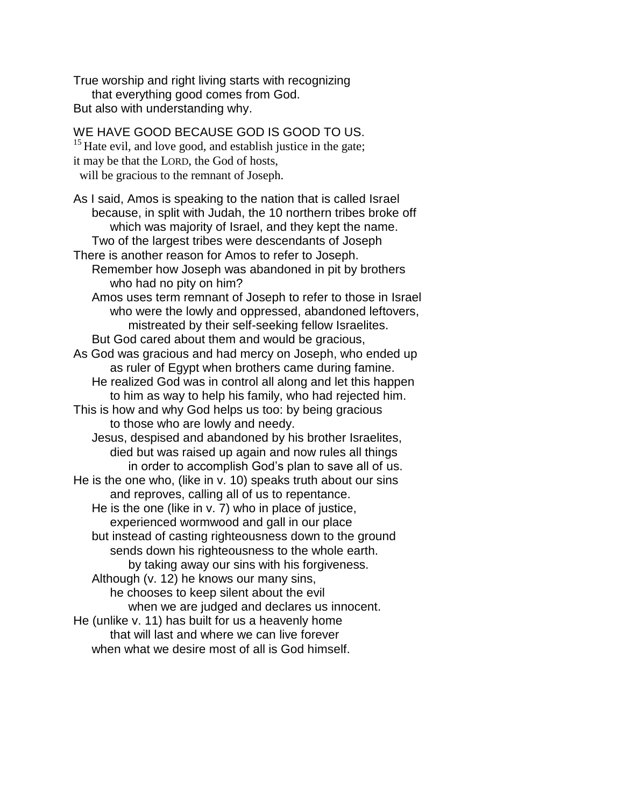True worship and right living starts with recognizing that everything good comes from God. But also with understanding why.

WE HAVE GOOD BECAUSE GOD IS GOOD TO US.  $15$  Hate evil, and love good, and establish justice in the gate; it may be that the LORD, the God of hosts, will be gracious to the remnant of Joseph. As I said, Amos is speaking to the nation that is called Israel because, in split with Judah, the 10 northern tribes broke off which was majority of Israel, and they kept the name. Two of the largest tribes were descendants of Joseph There is another reason for Amos to refer to Joseph. Remember how Joseph was abandoned in pit by brothers who had no pity on him? Amos uses term remnant of Joseph to refer to those in Israel who were the lowly and oppressed, abandoned leftovers, mistreated by their self-seeking fellow Israelites. But God cared about them and would be gracious, As God was gracious and had mercy on Joseph, who ended up as ruler of Egypt when brothers came during famine. He realized God was in control all along and let this happen to him as way to help his family, who had rejected him. This is how and why God helps us too: by being gracious to those who are lowly and needy. Jesus, despised and abandoned by his brother Israelites, died but was raised up again and now rules all things in order to accomplish God's plan to save all of us. He is the one who, (like in v. 10) speaks truth about our sins and reproves, calling all of us to repentance. He is the one (like in v. 7) who in place of justice, experienced wormwood and gall in our place but instead of casting righteousness down to the ground sends down his righteousness to the whole earth. by taking away our sins with his forgiveness. Although (v. 12) he knows our many sins, he chooses to keep silent about the evil when we are judged and declares us innocent. He (unlike v. 11) has built for us a heavenly home that will last and where we can live forever when what we desire most of all is God himself.